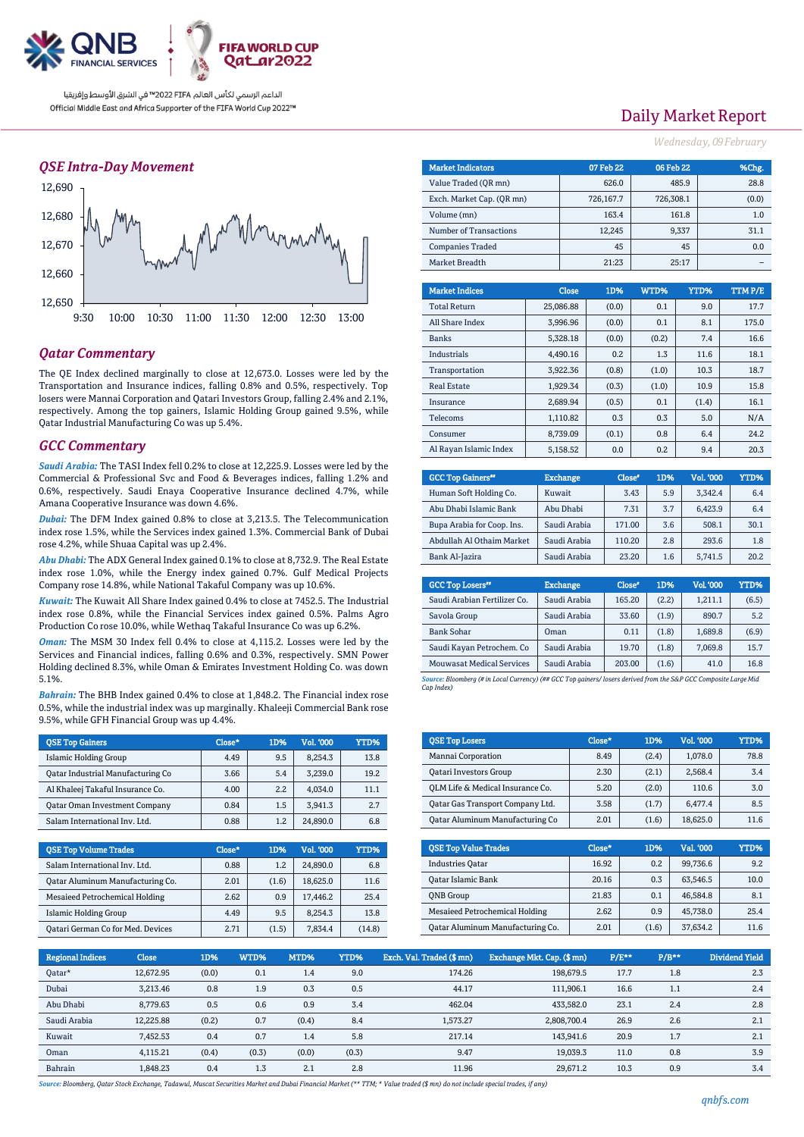

# *QSE Intra-Day Movement*



# *Qatar Commentary*

The QE Index declined marginally to close at 12,673.0. Losses were led by the Transportation and Insurance indices, falling 0.8% and 0.5%, respectively. Top losers were Mannai Corporation and Qatari Investors Group, falling 2.4% and 2.1%, respectively. Among the top gainers, Islamic Holding Group gained 9.5%, while Qatar Industrial Manufacturing Co was up 5.4%.

### *GCC Commentary*

*Saudi Arabia:* The TASI Index fell 0.2% to close at 12,225.9. Losses were led by the Commercial & Professional Svc and Food & Beverages indices, falling 1.2% and 0.6%, respectively. Saudi Enaya Cooperative Insurance declined 4.7%, while Amana Cooperative Insurance was down 4.6%.

*Dubai:* The DFM Index gained 0.8% to close at 3,213.5. The Telecommunication index rose 1.5%, while the Services index gained 1.3%. Commercial Bank of Dubai rose 4.2%, while Shuaa Capital was up 2.4%.

*Abu Dhabi:* The ADX General Index gained 0.1% to close at 8,732.9. The Real Estate index rose 1.0%, while the Energy index gained 0.7%. Gulf Medical Projects Company rose 14.8%, while National Takaful Company was up 10.6%.

*Kuwait:* The Kuwait All Share Index gained 0.4% to close at 7452.5. The Industrial index rose 0.8%, while the Financial Services index gained 0.5%. Palms Agro Production Co rose 10.0%, while Wethaq Takaful Insurance Co was up 6.2%.

*Oman:* The MSM 30 Index fell 0.4% to close at 4,115.2. Losses were led by the Services and Financial indices, falling 0.6% and 0.3%, respectively. SMN Power Holding declined 8.3%, while Oman & Emirates Investment Holding Co. was down 5.1%.

*Bahrain:* The BHB Index gained 0.4% to close at 1,848.2. The Financial index rose 0.5%, while the industrial index was up marginally. Khaleeji Commercial Bank rose 9.5%, while GFH Financial Group was up 4.4%.

| <b>OSE Top Gainers</b>               | Close* | 1D% | Vol. '000 | YTD% |
|--------------------------------------|--------|-----|-----------|------|
| Islamic Holding Group                | 4.49   | 9.5 | 8.254.3   | 13.8 |
| Qatar Industrial Manufacturing Co    | 3.66   | 5.4 | 3,239.0   | 19.2 |
| Al Khaleej Takaful Insurance Co.     | 4.00   | 2.2 | 4.034.0   | 11.1 |
| <b>Qatar Oman Investment Company</b> | 0.84   | 1.5 | 3.941.3   | 2.7  |
| Salam International Inv. Ltd.        | 0.88   | 1.2 | 24,890.0  | 6.8  |

| <b>QSE Top Volume Trades</b>      | Close* | 1D%   | Vol. '000 | YTD%   |
|-----------------------------------|--------|-------|-----------|--------|
| Salam International Inv. Ltd.     | 0.88   | 1.2   | 24.890.0  | 6.8    |
| Oatar Aluminum Manufacturing Co.  | 2.01   | (1.6) | 18,625.0  | 11.6   |
| Mesaieed Petrochemical Holding    | 2.62   | 0.9   | 17.446.2  | 25.4   |
| Islamic Holding Group             | 4.49   | 9.5   | 8.254.3   | 13.8   |
| Oatari German Co for Med. Devices | 2.71   | (1.5) | 7.834.4   | (14.8) |

# Daily Market Report

*Wednesday, 09February*

| <b>Market Indicators</b>  |           | 07 Feb 22 | 06 Feb 22 |       | %Chg.  |  |
|---------------------------|-----------|-----------|-----------|-------|--------|--|
| Value Traded (OR mn)      |           | 626.0     |           | 485.9 | 28.8   |  |
| Exch. Market Cap. (QR mn) |           | 726,167.7 | 726,308.1 |       | (0.0)  |  |
| Volume (mn)               |           | 163.4     |           | 161.8 | 1.0    |  |
| Number of Transactions    |           | 12,245    |           | 9,337 | 31.1   |  |
| <b>Companies Traded</b>   |           | 45        |           | 45    | 0.0    |  |
| Market Breadth            | 21:23     |           |           | 25:17 |        |  |
|                           |           |           |           |       |        |  |
| <b>Market Indices</b>     | Close     | 1D%       | WTD%      | YTD%  | TTMP/E |  |
| <b>Total Return</b>       | 25,086.88 | (0.0)     | 0.1       | 9.0   | 17.7   |  |
| All Share Index           | 3,996.96  | (0.0)     | 0.1       | 8.1   | 175.0  |  |
| <b>Banks</b>              | 5.328.18  | (0.0)     | (0.2)     | 7.4   | 16.6   |  |
| Industrials               | 4.490.16  | 0.2       | 1.3       | 11.6  | 18.1   |  |
| Transportation            | 3,922.36  | (0.8)     | (1.0)     | 10.3  | 18.7   |  |
| <b>Real Estate</b>        | 1.929.34  | (0.3)     | (1.0)     | 10.9  | 15.8   |  |
| Insurance                 | 2.689.94  | (0.5)     | 0.1       | (1.4) | 16.1   |  |
| Telecoms                  | 1,110.82  | 0.3       | 0.3       | 5.0   | N/A    |  |
| Consumer                  | 8,739.09  | (0.1)     | 0.8       | 6.4   | 24.2   |  |
| Al Rayan Islamic Index    | 5.158.52  | 0.0       | 0.2       | 9.4   | 20.3   |  |

| <b>GCC Top Gainers"</b>    | <b>Exchange</b> | Close* | 1D% | Vol. '000 | YTD% |
|----------------------------|-----------------|--------|-----|-----------|------|
| Human Soft Holding Co.     | Kuwait          | 3.43   | 5.9 | 3.342.4   | 6.4  |
| Abu Dhabi Islamic Bank     | Abu Dhabi       | 7.31   | 3.7 | 6.423.9   | 6.4  |
| Bupa Arabia for Coop. Ins. | Saudi Arabia    | 171.00 | 3.6 | 508.1     | 30.1 |
| Abdullah Al Othaim Market  | Saudi Arabia    | 110.20 | 2.8 | 293.6     | 1.8  |
| Bank Al-Jazira             | Saudi Arabia    | 23.20  | 1.6 | 5,741.5   | 20.2 |

| <b>GCC Top Losers</b> "          | <b>Exchange</b> | Close <sup>®</sup> | 1D%   | Vol. '000 | YTD%  |
|----------------------------------|-----------------|--------------------|-------|-----------|-------|
| Saudi Arabian Fertilizer Co.     | Saudi Arabia    | 165.20             | (2.2) | 1.211.1   | (6.5) |
| Savola Group                     | Saudi Arabia    | 33.60              | (1.9) | 890.7     | 5.2   |
| <b>Bank Sohar</b>                | Oman            | 0.11               | (1.8) | 1,689.8   | (6.9) |
| Saudi Kayan Petrochem. Co        | Saudi Arabia    | 19.70              | (1.8) | 7,069.8   | 15.7  |
| <b>Mouwasat Medical Services</b> | Saudi Arabia    | 203.00             | (1.6) | 41.0      | 16.8  |

*Source: Bloomberg (# in Local Currency) (## GCC Top gainers/ losers derived from the S&P GCC Composite Large Mid Cap Index)*

| <b>QSE Top Losers</b>                  | $Close*$ | 1D%   | <b>Vol. '000</b> | YTD% |
|----------------------------------------|----------|-------|------------------|------|
| Mannai Corporation                     | 8.49     | (2.4) | 1.078.0          | 78.8 |
| <b>Qatari Investors Group</b>          | 2.30     | (2.1) | 2.568.4          | 3.4  |
| OLM Life & Medical Insurance Co.       | 5.20     | (2.0) | 110.6            | 3.0  |
| Oatar Gas Transport Company Ltd.       | 3.58     | (1.7) | 6.477.4          | 8.5  |
| <b>Qatar Aluminum Manufacturing Co</b> | 2.01     | (1.6) | 18,625.0         | 11.6 |

| <b>OSE Top Value Trades</b>      | Close* | 1D%   | Val. '000 | YTD% |
|----------------------------------|--------|-------|-----------|------|
| <b>Industries Oatar</b>          | 16.92  | 0.2   | 99.736.6  | 9.2  |
| Qatar Islamic Bank               | 20.16  | 0.3   | 63.546.5  | 10.0 |
| <b>ONB</b> Group                 | 21.83  | 0.1   | 46.584.8  | 8.1  |
| Mesaieed Petrochemical Holding   | 2.62   | 0.9   | 45.738.0  | 25.4 |
| Qatar Aluminum Manufacturing Co. | 2.01   | (1.6) | 37,634.2  | 11.6 |

| <b>Regional Indices</b> | <b>Close</b> | 1D%   | WTD%  | MTD%  | YTD%  | Exch. Val. Traded (\$ mn) | Exchange Mkt. Cap. (\$ mn) | P/E** | P/B** | <b>Dividend Yield</b> |
|-------------------------|--------------|-------|-------|-------|-------|---------------------------|----------------------------|-------|-------|-----------------------|
| Oatar*                  | 12,672.95    | (0.0) | 0.1   | 1.4   | 9.0   | 174.26                    | 198.679.5                  | 17.7  | 1.8   | 2.3                   |
| Dubai                   | 3.213.46     | 0.8   | 1.9   | 0.3   | 0.5   | 44.17                     | 111.906.1                  | 16.6  | 1.1   | 2.4                   |
| Abu Dhabi               | 8,779.63     | 0.5   | 0.6   | 0.9   | 3.4   | 462.04                    | 433,582.0                  | 23.1  | 2.4   | 2.8                   |
| Saudi Arabia            | 12,225.88    | (0.2) | 0.7   | (0.4) | 8.4   | 1.573.27                  | 2.808.700.4                | 26.9  | 2.6   | 2.1                   |
| Kuwait                  | 7.452.53     | 0.4   | 0.7   | 1.4   | 5.8   | 217.14                    | 143.941.6                  | 20.9  | 1.7   | 2.1                   |
| Oman                    | 4.115.21     | (0.4) | (0.3) | (0.0) | (0.3) | 9.47                      | 19.039.3                   | 11.0  | 0.8   | 3.9                   |
| Bahrain                 | 1.848.23     | 0.4   | 1.3   | 2.1   | 2.8   | 11.96                     | 29.671.2                   | 10.3  | 0.9   | 3.4                   |

*Source: Bloomberg, Qatar Stock Exchange, Tadawul, Muscat Securities Market and Dubai Financial Market (\*\* TTM; \* Value traded (\$ mn) do not include special trades, if any)*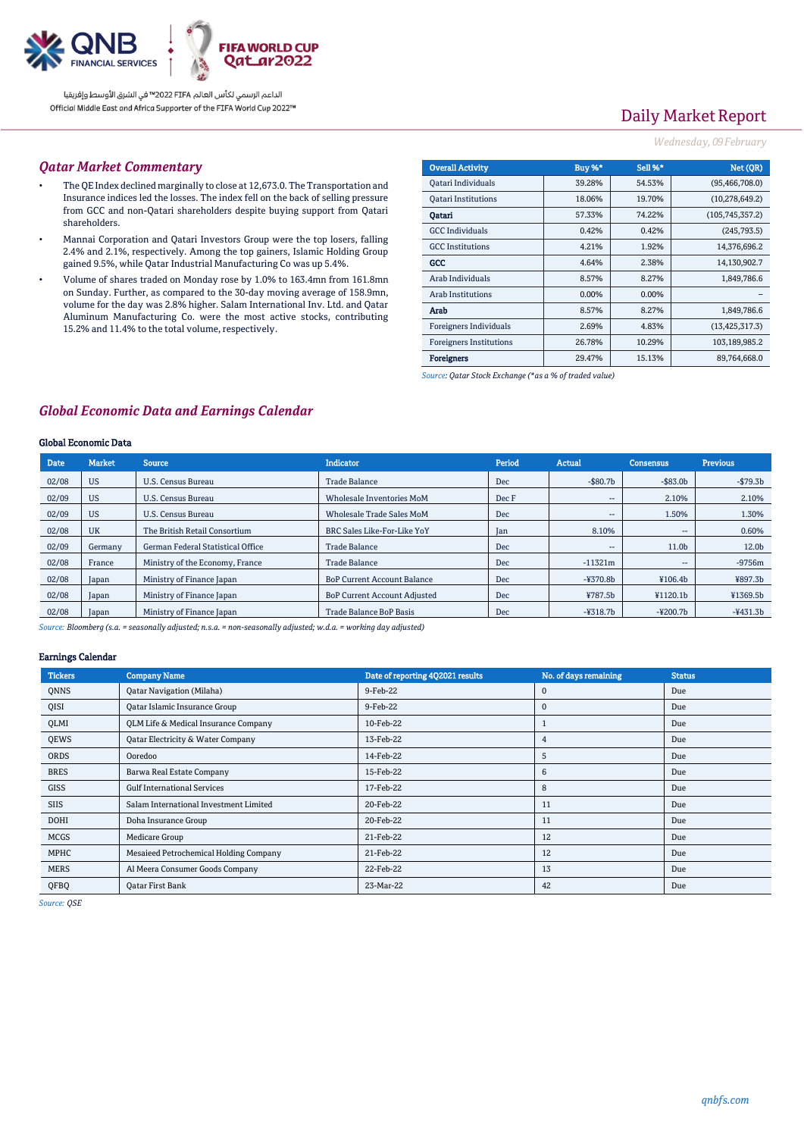

# Daily Market Report

## *Wednesday, 09February*

### *Qatar Market Commentary*

- The QE Index declined marginally to close at 12,673.0. The Transportation and Insurance indices led the losses. The index fell on the back of selling pressure from GCC and non-Qatari shareholders despite buying support from Qatari shareholders.
- Mannai Corporation and Qatari Investors Group were the top losers, falling 2.4% and 2.1%, respectively. Among the top gainers, Islamic Holding Group gained 9.5%, while Qatar Industrial Manufacturing Co was up 5.4%.
- Volume of shares traded on Monday rose by 1.0% to 163.4mn from 161.8mn on Sunday. Further, as compared to the 30-day moving average of 158.9mn, volume for the day was 2.8% higher. Salam International Inv. Ltd. and Qatar Aluminum Manufacturing Co. were the most active stocks, contributing 15.2% and 11.4% to the total volume, respectively.

| <b>Overall Activity</b>        | Buy %* | Sell %* | Net (OR)          |
|--------------------------------|--------|---------|-------------------|
| Qatari Individuals             | 39.28% | 54.53%  | (95, 466, 708.0)  |
| <b>Oatari Institutions</b>     | 18.06% | 19.70%  | (10, 278, 649.2)  |
| Oatari                         | 57.33% | 74.22%  | (105, 745, 357.2) |
| <b>GCC Individuals</b>         | 0.42%  | 0.42%   | (245, 793.5)      |
| <b>GCC</b> Institutions        | 4.21%  | 1.92%   | 14,376,696.2      |
| GCC                            | 4.64%  | 2.38%   | 14,130,902.7      |
| Arab Individuals               | 8.57%  | 8.27%   | 1,849,786.6       |
| <b>Arab Institutions</b>       | 0.00%  | 0.00%   |                   |
| Arab                           | 8.57%  | 8.27%   | 1,849,786.6       |
| Foreigners Individuals         | 2.69%  | 4.83%   | (13, 425, 317.3)  |
| <b>Foreigners Institutions</b> | 26.78% | 10.29%  | 103,189,985.2     |
| <b>Foreigners</b>              | 29.47% | 15.13%  | 89,764,668.0      |

*Source: Qatar Stock Exchange (\*as a % of traded value)*

# *Global Economic Data and Earnings Calendar*

### Global Economic Data

| <b>Date</b> | <b>Market</b> | <b>Source</b>                     | <b>Indicator</b>                    | Period | <b>Actual</b>            | <b>Consensus</b>         | <b>Previous</b>   |
|-------------|---------------|-----------------------------------|-------------------------------------|--------|--------------------------|--------------------------|-------------------|
| 02/08       | <b>US</b>     | U.S. Census Bureau                | <b>Trade Balance</b>                | Dec    | $-$ \$80.7b              | $-$ \$83.0b              | $-$79.3b$         |
| 02/09       | <b>US</b>     | U.S. Census Bureau                | Wholesale Inventories MoM           | Dec F  | $\overline{\phantom{a}}$ | 2.10%                    | 2.10%             |
| 02/09       | <b>US</b>     | U.S. Census Bureau                | <b>Wholesale Trade Sales MoM</b>    | Dec    | $\hspace{0.05cm}$        | 1.50%                    | 1.30%             |
| 02/08       | <b>UK</b>     | The British Retail Consortium     | <b>BRC Sales Like-For-Like YoY</b>  | Jan    | 8.10%                    | $\overline{\phantom{a}}$ | 0.60%             |
| 02/09       | Germany       | German Federal Statistical Office | <b>Trade Balance</b>                | Dec    | $\hspace{0.05cm}$        | 11.0 <sub>b</sub>        | 12.0 <sub>b</sub> |
| 02/08       | France        | Ministry of the Economy, France   | <b>Trade Balance</b>                | Dec    | $-11321m$                | $\overline{\phantom{a}}$ | $-9756m$          |
| 02/08       | Japan         | Ministry of Finance Japan         | <b>BoP Current Account Balance</b>  | Dec    | $-4370.8b$               | ¥106.4b                  | ¥897.3b           |
| 02/08       | Japan         | Ministry of Finance Japan         | <b>BoP Current Account Adjusted</b> | Dec    | ¥787.5b                  | ¥1120.1b                 | ¥1369.5b          |
| 02/08       | Japan         | Ministry of Finance Japan         | <b>Trade Balance BoP Basis</b>      | Dec    | $-4318.7b$               | $-4200.7b$               | $-431.3b$         |

*Source: Bloomberg (s.a. = seasonally adjusted; n.s.a. = non-seasonally adjusted; w.d.a. = working day adjusted)*

### Earnings Calendar

| <b>Tickers</b> | <b>Company Name</b>                             | Date of reporting 4Q2021 results | No. of days remaining | <b>Status</b> |
|----------------|-------------------------------------------------|----------------------------------|-----------------------|---------------|
| QNNS           | <b>Oatar Navigation (Milaha)</b>                | 9-Feb-22                         | $\mathbf 0$           | Due           |
| QISI           | Qatar Islamic Insurance Group                   | 9-Feb-22                         | $\Omega$              | Due           |
| QLMI           | <b>QLM Life &amp; Medical Insurance Company</b> | 10-Feb-22                        |                       | Due           |
| QEWS           | Qatar Electricity & Water Company               | 13-Feb-22                        | 4                     | Due           |
| ORDS           | Ooredoo                                         | 14-Feb-22                        | 5                     | Due           |
| <b>BRES</b>    | Barwa Real Estate Company                       | 15-Feb-22                        | 6                     | Due           |
| GISS           | <b>Gulf International Services</b>              | 17-Feb-22                        | 8                     | Due           |
| SIIS           | Salam International Investment Limited          | 20-Feb-22                        | 11                    | Due           |
| <b>DOHI</b>    | Doha Insurance Group                            | 20-Feb-22                        | 11                    | Due           |
| <b>MCGS</b>    | Medicare Group                                  | 21-Feb-22                        | 12                    | Due           |
| MPHC           | Mesaieed Petrochemical Holding Company          | 21-Feb-22                        | 12                    | Due           |
| <b>MERS</b>    | Al Meera Consumer Goods Company                 | 22-Feb-22                        | 13                    | Due           |
| QFBQ           | <b>Oatar First Bank</b>                         | 23-Mar-22                        | 42                    | Due           |

*Source: QSE*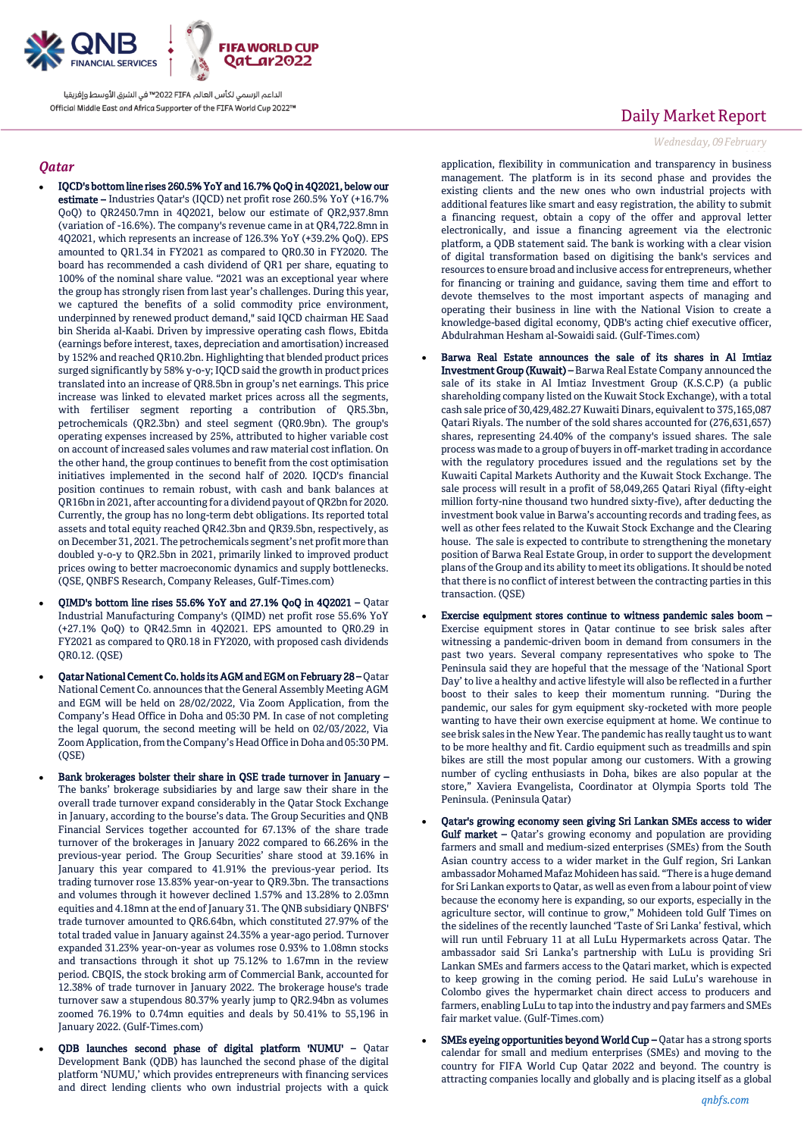

## *Qatar*

- IQCD's bottom line rises 260.5% YoY and 16.7% QoQ in 4Q2021, below our estimate – Industries Qatar's (IQCD) net profit rose 260.5% YoY (+16.7% QoQ) to QR2450.7mn in 4Q2021, below our estimate of QR2,937.8mn (variation of -16.6%). The company's revenue came in at QR4,722.8mn in 4Q2021, which represents an increase of 126.3% YoY (+39.2% QoQ). EPS amounted to QR1.34 in FY2021 as compared to QR0.30 in FY2020. The board has recommended a cash dividend of QR1 per share, equating to 100% of the nominal share value. "2021 was an exceptional year where the group has strongly risen from last year's challenges. During this year, we captured the benefits of a solid commodity price environment, underpinned by renewed product demand," said IQCD chairman HE Saad bin Sherida al-Kaabi. Driven by impressive operating cash flows, Ebitda (earnings before interest, taxes, depreciation and amortisation) increased by 152% and reached QR10.2bn. Highlighting that blended product prices surged significantly by 58% y-o-y; IQCD said the growth in product prices translated into an increase of QR8.5bn in group's net earnings. This price increase was linked to elevated market prices across all the segments, with fertiliser segment reporting a contribution of QR5.3bn, petrochemicals (QR2.3bn) and steel segment (QR0.9bn). The group's operating expenses increased by 25%, attributed to higher variable cost on account of increased sales volumes and raw material cost inflation. On the other hand, the group continues to benefit from the cost optimisation initiatives implemented in the second half of 2020. IQCD's financial position continues to remain robust, with cash and bank balances at QR16bn in 2021, after accounting for a dividend payout of QR2bn for 2020. Currently, the group has no long-term debt obligations. Its reported total assets and total equity reached QR42.3bn and QR39.5bn, respectively, as on December 31, 2021. The petrochemicals segment's net profit more than doubled y-o-y to QR2.5bn in 2021, primarily linked to improved product prices owing to better macroeconomic dynamics and supply bottlenecks. (QSE, QNBFS Research, Company Releases, Gulf-Times.com)
- QIMD's bottom line rises 55.6% YoY and 27.1% QoQ in 4Q2021 Qatar Industrial Manufacturing Company's (QIMD) net profit rose 55.6% YoY (+27.1% QoQ) to QR42.5mn in 4Q2021. EPS amounted to QR0.29 in FY2021 as compared to QR0.18 in FY2020, with proposed cash dividends QR0.12. (QSE)
- Qatar National Cement Co. holds its AGM and EGM on February 28 Qatar National Cement Co. announces that the General Assembly Meeting AGM and EGM will be held on 28/02/2022, Via Zoom Application, from the Company's Head Office in Doha and 05:30 PM. In case of not completing the legal quorum, the second meeting will be held on 02/03/2022, Via Zoom Application, from the Company's Head Office in Doha and 05:30 PM.  $(0SE)$
- Bank brokerages bolster their share in QSE trade turnover in January The banks' brokerage subsidiaries by and large saw their share in the overall trade turnover expand considerably in the Qatar Stock Exchange in January, according to the bourse's data. The Group Securities and QNB Financial Services together accounted for 67.13% of the share trade turnover of the brokerages in January 2022 compared to 66.26% in the previous-year period. The Group Securities' share stood at 39.16% in January this year compared to 41.91% the previous-year period. Its trading turnover rose 13.83% year-on-year to QR9.3bn. The transactions and volumes through it however declined 1.57% and 13.28% to 2.03mn equities and 4.18mn at the end of January 31. The QNB subsidiary QNBFS' trade turnover amounted to QR6.64bn, which constituted 27.97% of the total traded value in January against 24.35% a year-ago period. Turnover expanded 31.23% year-on-year as volumes rose 0.93% to 1.08mn stocks and transactions through it shot up 75.12% to 1.67mn in the review period. CBQIS, the stock broking arm of Commercial Bank, accounted for 12.38% of trade turnover in January 2022. The brokerage house's trade turnover saw a stupendous 80.37% yearly jump to QR2.94bn as volumes zoomed 76.19% to 0.74mn equities and deals by 50.41% to 55,196 in January 2022. (Gulf-Times.com)
- QDB launches second phase of digital platform 'NUMU' Qatar Development Bank (QDB) has launched the second phase of the digital platform 'NUMU,' which provides entrepreneurs with financing services and direct lending clients who own industrial projects with a quick

# Daily Market Report

#### *Wednesday, 09February*

*2022* application, flexibility in communication and transparency in business management. The platform is in its second phase and provides the existing clients and the new ones who own industrial projects with additional features like smart and easy registration, the ability to submit a financing request, obtain a copy of the offer and approval letter electronically, and issue a financing agreement via the electronic platform, a QDB statement said. The bank is working with a clear vision of digital transformation based on digitising the bank's services and resources to ensure broad and inclusive access for entrepreneurs, whether for financing or training and guidance, saving them time and effort to devote themselves to the most important aspects of managing and operating their business in line with the National Vision to create a knowledge-based digital economy, QDB's acting chief executive officer, Abdulrahman Hesham al-Sowaidi said. (Gulf-Times.com)

- Barwa Real Estate announces the sale of its shares in Al Imtiaz Investment Group (Kuwait) – Barwa Real Estate Company announced the sale of its stake in Al Imtiaz Investment Group (K.S.C.P) (a public shareholding company listed on the Kuwait Stock Exchange), with a total cash sale price of 30,429,482.27 Kuwaiti Dinars, equivalent to 375,165,087 Qatari Riyals. The number of the sold shares accounted for (276,631,657) shares, representing 24.40% of the company's issued shares. The sale process was made to a group of buyers in off-market trading in accordance with the regulatory procedures issued and the regulations set by the Kuwaiti Capital Markets Authority and the Kuwait Stock Exchange. The sale process will result in a profit of 58,049,265 Qatari Riyal (fifty-eight million forty-nine thousand two hundred sixty-five), after deducting the investment book value in Barwa's accounting records and trading fees, as well as other fees related to the Kuwait Stock Exchange and the Clearing house. The sale is expected to contribute to strengthening the monetary position of Barwa Real Estate Group, in order to support the development plans of the Group and its ability to meet its obligations. It should be noted that there is no conflict of interest between the contracting parties in this transaction. (QSE)
- Exercise equipment stores continue to witness pandemic sales boom Exercise equipment stores in Qatar continue to see brisk sales after witnessing a pandemic-driven boom in demand from consumers in the past two years. Several company representatives who spoke to The Peninsula said they are hopeful that the message of the 'National Sport Day' to live a healthy and active lifestyle will also be reflected in a further boost to their sales to keep their momentum running. "During the pandemic, our sales for gym equipment sky-rocketed with more people wanting to have their own exercise equipment at home. We continue to see brisk sales in the New Year. The pandemic has really taught us to want to be more healthy and fit. Cardio equipment such as treadmills and spin bikes are still the most popular among our customers. With a growing number of cycling enthusiasts in Doha, bikes are also popular at the store," Xaviera Evangelista, Coordinator at Olympia Sports told The Peninsula. (Peninsula Qatar)
- Qatar's growing economy seen giving Sri Lankan SMEs access to wider Gulf market – Qatar's growing economy and population are providing farmers and small and medium-sized enterprises (SMEs) from the South Asian country access to a wider market in the Gulf region, Sri Lankan ambassador Mohamed Mafaz Mohideen has said. "There is a huge demand for Sri Lankan exports to Qatar, as well as even from a labour point of view because the economy here is expanding, so our exports, especially in the agriculture sector, will continue to grow," Mohideen told Gulf Times on the sidelines of the recently launched 'Taste of Sri Lanka' festival, which will run until February 11 at all LuLu Hypermarkets across Qatar. The ambassador said Sri Lanka's partnership with LuLu is providing Sri Lankan SMEs and farmers access to the Qatari market, which is expected to keep growing in the coming period. He said LuLu's warehouse in Colombo gives the hypermarket chain direct access to producers and farmers, enabling LuLu to tap into the industry and pay farmers and SMEs fair market value. (Gulf-Times.com)
- SMEs eyeing opportunities beyond World Cup Qatar has a strong sports calendar for small and medium enterprises (SMEs) and moving to the country for FIFA World Cup Qatar 2022 and beyond. The country is attracting companies locally and globally and is placing itself as a global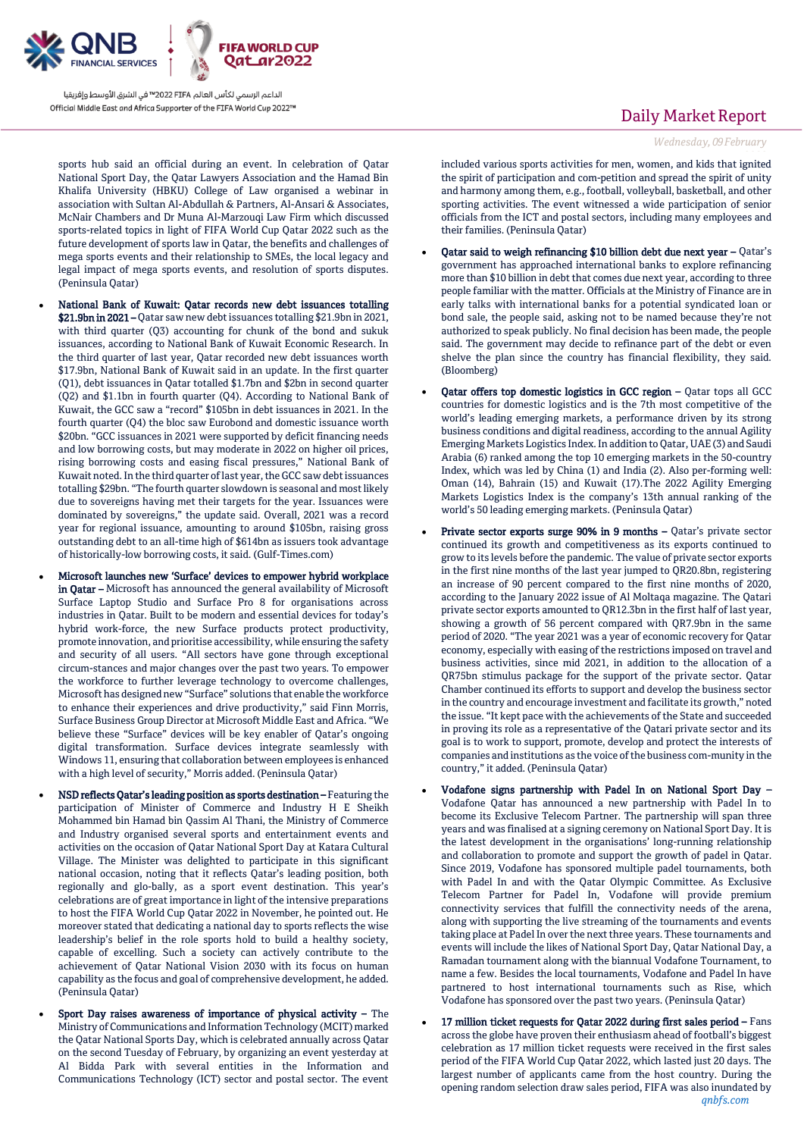

sports hub said an official during an event. In celebration of Qatar National Sport Day, the Qatar Lawyers Association and the Hamad Bin Khalifa University (HBKU) College of Law organised a webinar in association with Sultan Al-Abdullah & Partners, Al-Ansari & Associates, McNair Chambers and Dr Muna Al-Marzouqi Law Firm which discussed sports-related topics in light of FIFA World Cup Qatar 2022 such as the future development of sports law in Qatar, the benefits and challenges of mega sports events and their relationship to SMEs, the local legacy and legal impact of mega sports events, and resolution of sports disputes. (Peninsula Qatar)

- National Bank of Kuwait: Qatar records new debt issuances totalling \$21.9bn in 2021 – Qatar saw new debt issuances totalling \$21.9bn in 2021, with third quarter (Q3) accounting for chunk of the bond and sukuk issuances, according to National Bank of Kuwait Economic Research. In the third quarter of last year, Qatar recorded new debt issuances worth \$17.9bn, National Bank of Kuwait said in an update. In the first quarter (Q1), debt issuances in Qatar totalled \$1.7bn and \$2bn in second quarter (Q2) and \$1.1bn in fourth quarter (Q4). According to National Bank of Kuwait, the GCC saw a "record" \$105bn in debt issuances in 2021. In the fourth quarter (Q4) the bloc saw Eurobond and domestic issuance worth \$20bn. "GCC issuances in 2021 were supported by deficit financing needs and low borrowing costs, but may moderate in 2022 on higher oil prices, rising borrowing costs and easing fiscal pressures," National Bank of Kuwait noted. In the third quarter of last year, the GCC saw debt issuances totalling \$29bn. "The fourth quarter slowdown is seasonal and most likely due to sovereigns having met their targets for the year. Issuances were dominated by sovereigns," the update said. Overall, 2021 was a record year for regional issuance, amounting to around \$105bn, raising gross outstanding debt to an all-time high of \$614bn as issuers took advantage of historically-low borrowing costs, it said. (Gulf-Times.com)
- Microsoft launches new 'Surface' devices to empower hybrid workplace in Qatar – Microsoft has announced the general availability of Microsoft Surface Laptop Studio and Surface Pro 8 for organisations across industries in Qatar. Built to be modern and essential devices for today's hybrid work-force, the new Surface products protect productivity, promote innovation, and prioritise accessibility, while ensuring the safety and security of all users. "All sectors have gone through exceptional circum-stances and major changes over the past two years. To empower the workforce to further leverage technology to overcome challenges, Microsoft has designed new "Surface" solutions that enable the workforce to enhance their experiences and drive productivity," said Finn Morris, Surface Business Group Director at Microsoft Middle East and Africa. "We believe these "Surface" devices will be key enabler of Qatar's ongoing digital transformation. Surface devices integrate seamlessly with Windows 11, ensuring that collaboration between employees is enhanced with a high level of security," Morris added. (Peninsula Qatar)
- NSD reflects Qatar's leading position as sports destination Featuring the participation of Minister of Commerce and Industry H E Sheikh Mohammed bin Hamad bin Qassim Al Thani, the Ministry of Commerce and Industry organised several sports and entertainment events and activities on the occasion of Qatar National Sport Day at Katara Cultural Village. The Minister was delighted to participate in this significant national occasion, noting that it reflects Qatar's leading position, both regionally and glo-bally, as a sport event destination. This year's celebrations are of great importance in light of the intensive preparations to host the FIFA World Cup Qatar 2022 in November, he pointed out. He moreover stated that dedicating a national day to sports reflects the wise leadership's belief in the role sports hold to build a healthy society, capable of excelling. Such a society can actively contribute to the achievement of Qatar National Vision 2030 with its focus on human capability as the focus and goal of comprehensive development, he added. (Peninsula Qatar)
- Sport Day raises awareness of importance of physical activity The Ministry of Communications and Information Technology (MCIT) marked the Qatar National Sports Day, which is celebrated annually across Qatar on the second Tuesday of February, by organizing an event yesterday at Al Bidda Park with several entities in the Information and Communications Technology (ICT) sector and postal sector. The event

# Daily Market Report

*Wednesday, 09February*

*2022* included various sports activities for men, women, and kids that ignited the spirit of participation and com-petition and spread the spirit of unity and harmony among them, e.g., football, volleyball, basketball, and other sporting activities. The event witnessed a wide participation of senior officials from the ICT and postal sectors, including many employees and their families. (Peninsula Qatar)

- Qatar said to weigh refinancing \$10 billion debt due next year Qatar's government has approached international banks to explore refinancing more than \$10 billion in debt that comes due next year, according to three people familiar with the matter. Officials at the Ministry of Finance are in early talks with international banks for a potential syndicated loan or bond sale, the people said, asking not to be named because they're not authorized to speak publicly. No final decision has been made, the people said. The government may decide to refinance part of the debt or even shelve the plan since the country has financial flexibility, they said. (Bloomberg)
- Qatar offers top domestic logistics in GCC region Qatar tops all GCC countries for domestic logistics and is the 7th most competitive of the world's leading emerging markets, a performance driven by its strong business conditions and digital readiness, according to the annual Agility Emerging Markets Logistics Index. In addition to Qatar, UAE (3) and Saudi Arabia (6) ranked among the top 10 emerging markets in the 50-country Index, which was led by China (1) and India (2). Also per-forming well: Oman (14), Bahrain (15) and Kuwait (17).The 2022 Agility Emerging Markets Logistics Index is the company's 13th annual ranking of the world's 50 leading emerging markets. (Peninsula Qatar)
- Private sector exports surge 90% in 9 months Qatar's private sector continued its growth and competitiveness as its exports continued to grow to its levels before the pandemic. The value of private sector exports in the first nine months of the last year jumped to QR20.8bn, registering an increase of 90 percent compared to the first nine months of 2020, according to the January 2022 issue of Al Moltaqa magazine. The Qatari private sector exports amounted to QR12.3bn in the first half of last year, showing a growth of 56 percent compared with QR7.9bn in the same period of 2020. "The year 2021 was a year of economic recovery for Qatar economy, especially with easing of the restrictions imposed on travel and business activities, since mid 2021, in addition to the allocation of a QR75bn stimulus package for the support of the private sector. Qatar Chamber continued its efforts to support and develop the business sector in the country and encourage investment and facilitate its growth," noted the issue. "It kept pace with the achievements of the State and succeeded in proving its role as a representative of the Qatari private sector and its goal is to work to support, promote, develop and protect the interests of companies and institutions as the voice of the business com-munity in the country," it added. (Peninsula Qatar)
- Vodafone signs partnership with Padel In on National Sport Day Vodafone Qatar has announced a new partnership with Padel In to become its Exclusive Telecom Partner. The partnership will span three years and was finalised at a signing ceremony on National Sport Day. It is the latest development in the organisations' long-running relationship and collaboration to promote and support the growth of padel in Qatar. Since 2019, Vodafone has sponsored multiple padel tournaments, both with Padel In and with the Qatar Olympic Committee. As Exclusive Telecom Partner for Padel In, Vodafone will provide premium connectivity services that fulfill the connectivity needs of the arena, along with supporting the live streaming of the tournaments and events taking place at Padel In over the next three years. These tournaments and events will include the likes of National Sport Day, Qatar National Day, a Ramadan tournament along with the biannual Vodafone Tournament, to name a few. Besides the local tournaments, Vodafone and Padel In have partnered to host international tournaments such as Rise, which Vodafone has sponsored over the past two years. (Peninsula Qatar)
- *qnbfs.com* 17 million ticket requests for Qatar 2022 during first sales period – Fans across the globe have proven their enthusiasm ahead of football's biggest celebration as 17 million ticket requests were received in the first sales period of the FIFA World Cup Qatar 2022, which lasted just 20 days. The largest number of applicants came from the host country. During the opening random selection draw sales period, FIFA was also inundated by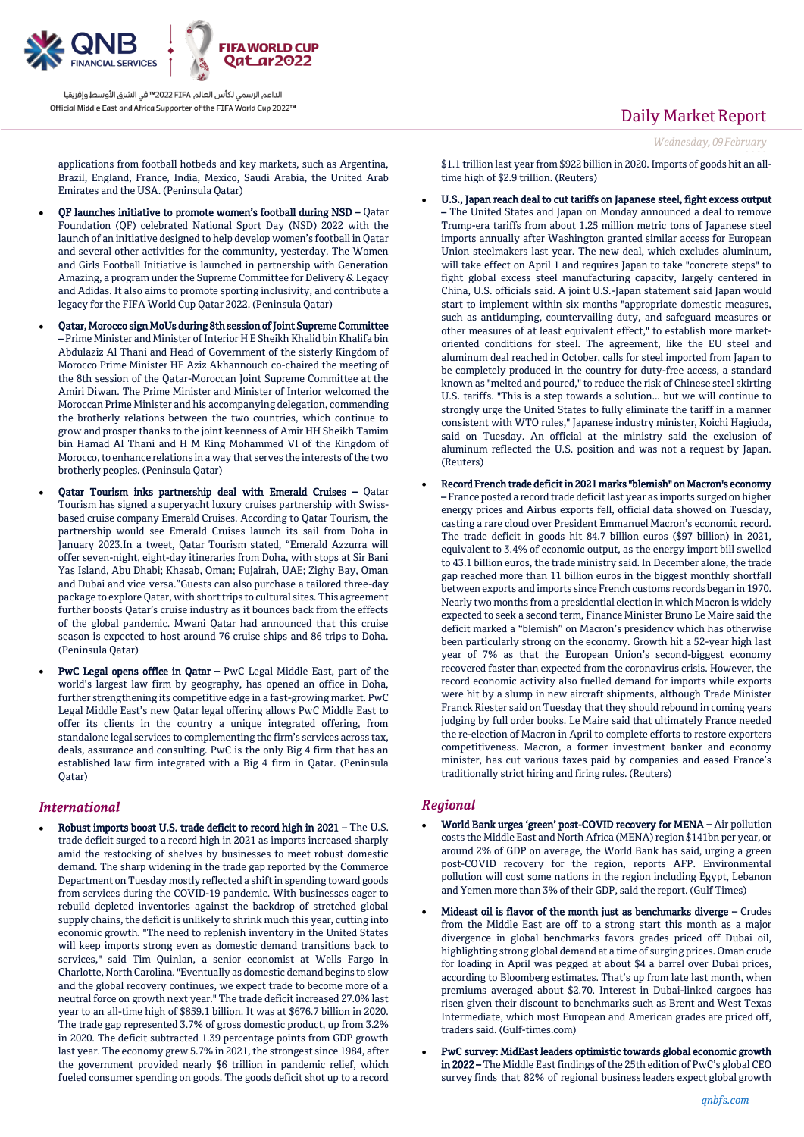

applications from football hotbeds and key markets, such as Argentina, Brazil, England, France, India, Mexico, Saudi Arabia, the United Arab Emirates and the USA. (Peninsula Qatar)

- QF launches initiative to promote women's football during NSD Qatar Foundation (QF) celebrated National Sport Day (NSD) 2022 with the launch of an initiative designed to help develop women's football in Qatar and several other activities for the community, yesterday. The Women and Girls Football Initiative is launched in partnership with Generation Amazing, a program under the Supreme Committee for Delivery & Legacy and Adidas. It also aims to promote sporting inclusivity, and contribute a legacy for the FIFA World Cup Qatar 2022. (Peninsula Qatar)
- Qatar, Morocco sign MoUs during 8th session of Joint Supreme Committee – Prime Minister and Minister of Interior H E Sheikh Khalid bin Khalifa bin Abdulaziz Al Thani and Head of Government of the sisterly Kingdom of Morocco Prime Minister HE Aziz Akhannouch co-chaired the meeting of the 8th session of the Qatar-Moroccan Joint Supreme Committee at the Amiri Diwan. The Prime Minister and Minister of Interior welcomed the Moroccan Prime Minister and his accompanying delegation, commending the brotherly relations between the two countries, which continue to grow and prosper thanks to the joint keenness of Amir HH Sheikh Tamim bin Hamad Al Thani and H M King Mohammed VI of the Kingdom of Morocco, to enhance relations in a way that serves the interests of the two brotherly peoples. (Peninsula Qatar)
- Qatar Tourism inks partnership deal with Emerald Cruises Qatar Tourism has signed a superyacht luxury cruises partnership with Swissbased cruise company Emerald Cruises. According to Qatar Tourism, the partnership would see Emerald Cruises launch its sail from Doha in January 2023.In a tweet, Qatar Tourism stated, "Emerald Azzurra will offer seven-night, eight-day itineraries from Doha, with stops at Sir Bani Yas Island, Abu Dhabi; Khasab, Oman; Fujairah, UAE; Zighy Bay, Oman and Dubai and vice versa."Guests can also purchase a tailored three-day package to explore Qatar, with short trips to cultural sites. This agreement further boosts Qatar's cruise industry as it bounces back from the effects of the global pandemic. Mwani Qatar had announced that this cruise season is expected to host around 76 cruise ships and 86 trips to Doha. (Peninsula Qatar)
- PwC Legal opens office in Qatar PwC Legal Middle East, part of the world's largest law firm by geography, has opened an office in Doha, further strengthening its competitive edge in a fast-growing market. PwC Legal Middle East's new Qatar legal offering allows PwC Middle East to offer its clients in the country a unique integrated offering, from standalone legal services to complementing the firm's services across tax, deals, assurance and consulting. PwC is the only Big 4 firm that has an established law firm integrated with a Big 4 firm in Qatar. (Peninsula Qatar)

### *International*

 Robust imports boost U.S. trade deficit to record high in 2021 – The U.S. trade deficit surged to a record high in 2021 as imports increased sharply amid the restocking of shelves by businesses to meet robust domestic demand. The sharp widening in the trade gap reported by the Commerce Department on Tuesday mostly reflected a shift in spending toward goods from services during the COVID-19 pandemic. With businesses eager to rebuild depleted inventories against the backdrop of stretched global supply chains, the deficit is unlikely to shrink much this year, cutting into economic growth. "The need to replenish inventory in the United States will keep imports strong even as domestic demand transitions back to services," said Tim Quinlan, a senior economist at Wells Fargo in Charlotte, North Carolina. "Eventually as domestic demand begins to slow and the global recovery continues, we expect trade to become more of a neutral force on growth next year." The trade deficit increased 27.0% last year to an all-time high of \$859.1 billion. It was at \$676.7 billion in 2020. The trade gap represented 3.7% of gross domestic product, up from 3.2% in 2020. The deficit subtracted 1.39 percentage points from GDP growth last year. The economy grew 5.7% in 2021, the strongest since 1984, after the government provided nearly \$6 trillion in pandemic relief, which fueled consumer spending on goods. The goods deficit shot up to a record

# Daily Market Report

*2022* \$1.1 trillion last year from \$922 billion in 2020. Imports of goods hit an alltime high of \$2.9 trillion. (Reuters)

- U.S., Japan reach deal to cut tariffs on Japanese steel, fight excess output – The United States and Japan on Monday announced a deal to remove Trump-era tariffs from about 1.25 million metric tons of Japanese steel imports annually after Washington granted similar access for European Union steelmakers last year. The new deal, which excludes aluminum, will take effect on April 1 and requires Japan to take "concrete steps" to fight global excess steel manufacturing capacity, largely centered in China, U.S. officials said. A joint U.S.-Japan statement said Japan would start to implement within six months "appropriate domestic measures, such as antidumping, countervailing duty, and safeguard measures or other measures of at least equivalent effect," to establish more marketoriented conditions for steel. The agreement, like the EU steel and aluminum deal reached in October, calls for steel imported from Japan to be completely produced in the country for duty-free access, a standard known as "melted and poured," to reduce the risk of Chinese steel skirting U.S. tariffs. "This is a step towards a solution... but we will continue to strongly urge the United States to fully eliminate the tariff in a manner consistent with WTO rules," Japanese industry minister, Koichi Hagiuda, said on Tuesday. An official at the ministry said the exclusion of aluminum reflected the U.S. position and was not a request by Japan. (Reuters)
- Record French trade deficit in 2021 marks "blemish" on Macron's economy – France posted a record trade deficit last year as imports surged on higher energy prices and Airbus exports fell, official data showed on Tuesday, casting a rare cloud over President Emmanuel Macron's economic record. The trade deficit in goods hit 84.7 billion euros (\$97 billion) in 2021, equivalent to 3.4% of economic output, as the energy import bill swelled to 43.1 billion euros, the trade ministry said. In December alone, the trade gap reached more than 11 billion euros in the biggest monthly shortfall between exports and imports since French customs records began in 1970. Nearly two months from a presidential election in which Macron is widely expected to seek a second term, Finance Minister Bruno Le Maire said the deficit marked a "blemish" on Macron's presidency which has otherwise been particularly strong on the economy. Growth hit a 52-year high last year of 7% as that the European Union's second-biggest economy recovered faster than expected from the coronavirus crisis. However, the record economic activity also fuelled demand for imports while exports were hit by a slump in new aircraft shipments, although Trade Minister Franck Riester said on Tuesday that they should rebound in coming years judging by full order books. Le Maire said that ultimately France needed the re-election of Macron in April to complete efforts to restore exporters competitiveness. Macron, a former investment banker and economy minister, has cut various taxes paid by companies and eased France's traditionally strict hiring and firing rules. (Reuters)

## *Regional*

- World Bank urges 'green' post-COVID recovery for MENA Air pollution costs the Middle East and North Africa (MENA) region \$141bn per year, or around 2% of GDP on average, the World Bank has said, urging a green post-COVID recovery for the region, reports AFP. Environmental pollution will cost some nations in the region including Egypt, Lebanon and Yemen more than 3% of their GDP, said the report. (Gulf Times)
- Mideast oil is flavor of the month just as benchmarks diverge Crudes from the Middle East are off to a strong start this month as a major divergence in global benchmarks favors grades priced off Dubai oil, highlighting strong global demand at a time of surging prices. Oman crude for loading in April was pegged at about \$4 a barrel over Dubai prices, according to Bloomberg estimates. That's up from late last month, when premiums averaged about \$2.70. Interest in Dubai-linked cargoes has risen given their discount to benchmarks such as Brent and West Texas Intermediate, which most European and American grades are priced off, traders said. (Gulf-times.com)
- PwC survey: MidEast leaders optimistic towards global economic growth in 2022 – The Middle East findings of the 25th edition of PwC's global CEO survey finds that 82% of regional business leaders expect global growth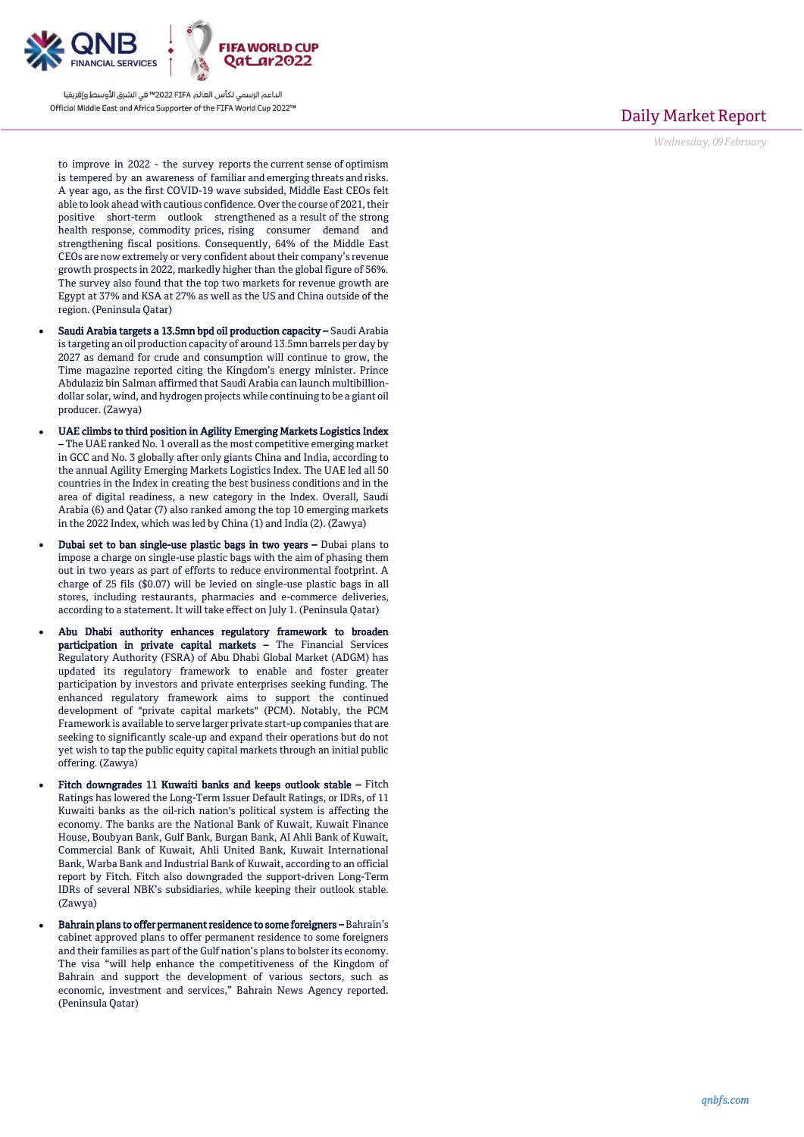

to improve in 2022 - the survey reports the current sense of optimism is tempered by an awareness of familiar and emerging threats and risks. A year ago, as the first COVID-19 wave subsided, Middle East CEOs felt able to look ahead with cautious confidence. Over the course of 2021, their positive short-term outlook strengthened as a result of the strong health response, commodity prices, rising consumer demand and strengthening fiscal positions. Consequently, 64% of the Middle East CEOs are now extremely or very confident about their company's revenue growth prospects in 2022, markedly higher than the global figure of 56%. The survey also found that the top two markets for revenue growth are Egypt at 37% and KSA at 27% as well as the US and China outside of the region. (Peninsula Qatar)

- Saudi Arabia targets a 13.5mn bpd oil production capacity Saudi Arabia is targeting an oil production capacity of around 13.5mn barrels per day by 2027 as demand for crude and consumption will continue to grow, the Time magazine reported citing the Kingdom's energy minister. Prince Abdulaziz bin Salman affirmed that Saudi Arabia can launch multibilliondollar solar, wind, and hydrogen projects while continuing to be a giant oil producer. (Zawya)
- UAE climbs to third position in Agility Emerging Markets Logistics Index – The UAE ranked No. 1 overall as the most competitive emerging market in GCC and No. 3 globally after only giants China and India, according to the annual Agility Emerging Markets Logistics Index. The UAE led all 50 countries in the Index in creating the best business conditions and in the area of digital readiness, a new category in the Index. Overall, Saudi Arabia (6) and Qatar (7) also ranked among the top 10 emerging markets in the 2022 Index, which was led by China (1) and India (2). (Zawya)
- Dubai set to ban single-use plastic bags in two years Dubai plans to impose a charge on single-use plastic bags with the aim of phasing them out in two years as part of efforts to reduce environmental footprint. A charge of 25 fils (\$0.07) will be levied on single-use plastic bags in all stores, including restaurants, pharmacies and e-commerce deliveries, according to a statement. It will take effect on July 1. (Peninsula Qatar)
- Abu Dhabi authority enhances regulatory framework to broaden participation in private capital markets – The Financial Services Regulatory Authority (FSRA) of Abu Dhabi Global Market (ADGM) has updated its regulatory framework to enable and foster greater participation by investors and private enterprises seeking funding. The enhanced regulatory framework aims to support the continued development of "private capital markets" (PCM). Notably, the PCM Framework is available to serve larger private start-up companies that are seeking to significantly scale-up and expand their operations but do not yet wish to tap the public equity capital markets through an initial public offering. (Zawya)
- Fitch downgrades 11 Kuwaiti banks and keeps outlook stable Fitch Ratings has lowered the Long-Term Issuer Default Ratings, or IDRs, of 11 Kuwaiti banks as the oil-rich nation's political system is affecting the economy. The banks are the National Bank of Kuwait, Kuwait Finance House, Boubyan Bank, Gulf Bank, Burgan Bank, Al Ahli Bank of Kuwait, Commercial Bank of Kuwait, Ahli United Bank, Kuwait International Bank, Warba Bank and Industrial Bank of Kuwait, according to an official report by Fitch. Fitch also downgraded the support-driven Long-Term IDRs of several NBK's subsidiaries, while keeping their outlook stable. (Zawya)
- Bahrain plans to offer permanent residence to some foreigners Bahrain's cabinet approved plans to offer permanent residence to some foreigners and their families as part of the Gulf nation's plans to bolster its economy. The visa "will help enhance the competitiveness of the Kingdom of Bahrain and support the development of various sectors, such as economic, investment and services," Bahrain News Agency reported. (Peninsula Qatar)

# Daily Market Report

*Wednesday, 09February*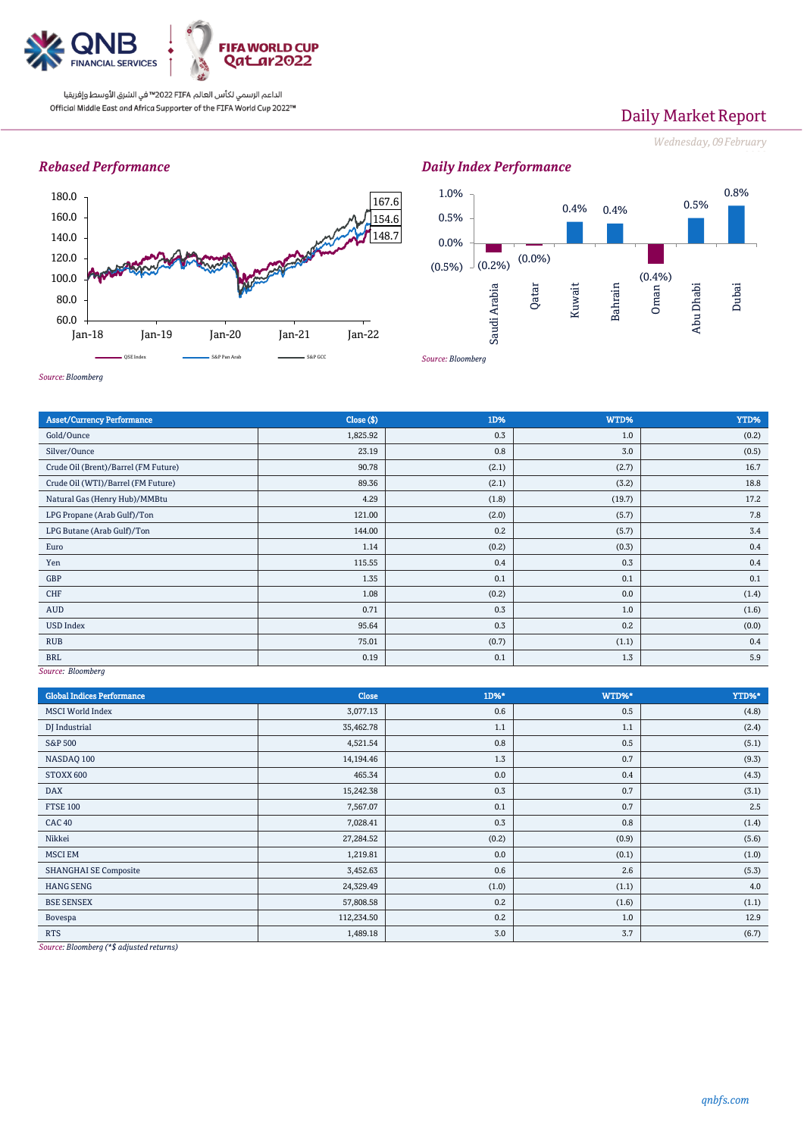

# Daily Market Report

*Wednesday, 09February*

# *Rebased Performance*



 $\sqrt{(0.2\%)}$  (0.0%) 0.4% 0.4% (0.4%) 0.5% 0.8% (0.5%) 0.0% 0.5% 1.0% Saudi Arabia Qatar Kuwait Bahrain Oman Abu Dhabi Dubai

*Source: Bloomberg*

| <b>Asset/Currency Performance</b>    | Close ( \$) | 1D%   | WTD%   | YTD%  |
|--------------------------------------|-------------|-------|--------|-------|
| Gold/Ounce                           | 1,825.92    | 0.3   | 1.0    | (0.2) |
| Silver/Ounce                         | 23.19       | 0.8   | 3.0    | (0.5) |
| Crude Oil (Brent)/Barrel (FM Future) | 90.78       | (2.1) | (2.7)  | 16.7  |
| Crude Oil (WTI)/Barrel (FM Future)   | 89.36       | (2.1) | (3.2)  | 18.8  |
| Natural Gas (Henry Hub)/MMBtu        | 4.29        | (1.8) | (19.7) | 17.2  |
| LPG Propane (Arab Gulf)/Ton          | 121.00      | (2.0) | (5.7)  | 7.8   |
| LPG Butane (Arab Gulf)/Ton           | 144.00      | 0.2   | (5.7)  | 3.4   |
| Euro                                 | 1.14        | (0.2) | (0.3)  | 0.4   |
| Yen                                  | 115.55      | 0.4   | 0.3    | 0.4   |
| GBP                                  | 1.35        | 0.1   | 0.1    | 0.1   |
| CHF                                  | 1.08        | (0.2) | 0.0    | (1.4) |
| AUD                                  | 0.71        | 0.3   | 1.0    | (1.6) |
| <b>USD Index</b>                     | 95.64       | 0.3   | 0.2    | (0.0) |
| <b>RUB</b>                           | 75.01       | (0.7) | (1.1)  | 0.4   |
| <b>BRL</b>                           | 0.19        | 0.1   | 1.3    | 5.9   |

### *Source: Bloomberg*

| <b>Global Indices Performance</b> | Close      | 1D%*  | WTD%* | YTD%*   |
|-----------------------------------|------------|-------|-------|---------|
| <b>MSCI World Index</b>           | 3,077.13   | 0.6   | 0.5   | (4.8)   |
| DJ Industrial                     | 35,462.78  | 1.1   | 1.1   | (2.4)   |
| <b>S&amp;P 500</b>                | 4,521.54   | 0.8   | 0.5   | (5.1)   |
| NASDAQ 100                        | 14,194.46  | 1.3   | 0.7   | (9.3)   |
| STOXX 600                         | 465.34     | 0.0   | 0.4   | (4.3)   |
| <b>DAX</b>                        | 15,242.38  | 0.3   | 0.7   | (3.1)   |
| <b>FTSE 100</b>                   | 7,567.07   | 0.1   | 0.7   | 2.5     |
| <b>CAC 40</b>                     | 7,028.41   | 0.3   | 0.8   | (1.4)   |
| Nikkei                            | 27,284.52  | (0.2) | (0.9) | (5.6)   |
| <b>MSCI EM</b>                    | 1,219.81   | 0.0   | (0.1) | (1.0)   |
| <b>SHANGHAI SE Composite</b>      | 3,452.63   | 0.6   | 2.6   | (5.3)   |
| <b>HANG SENG</b>                  | 24,329.49  | (1.0) | (1.1) | $4.0\,$ |
| <b>BSE SENSEX</b>                 | 57,808.58  | 0.2   | (1.6) | (1.1)   |
| Bovespa                           | 112,234.50 | 0.2   | 1.0   | 12.9    |
| <b>RTS</b>                        | 1,489.18   | 3.0   | 3.7   | (6.7)   |

*Source: Bloomberg (\*\$ adjusted returns)*

*Daily Index Performance*

*Source: Bloomberg*